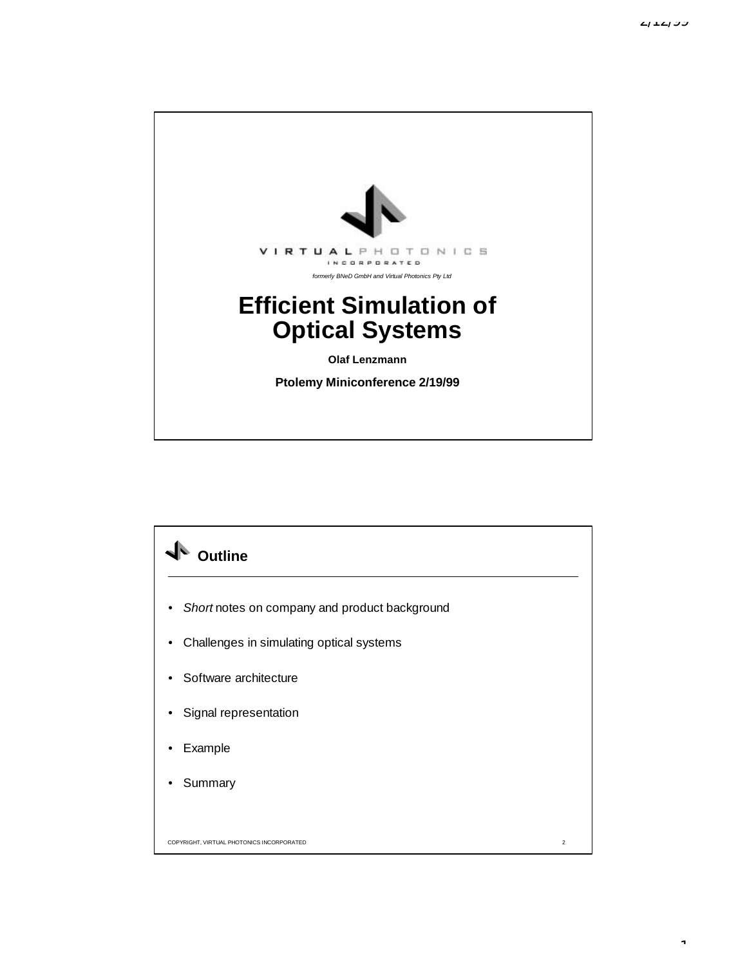1



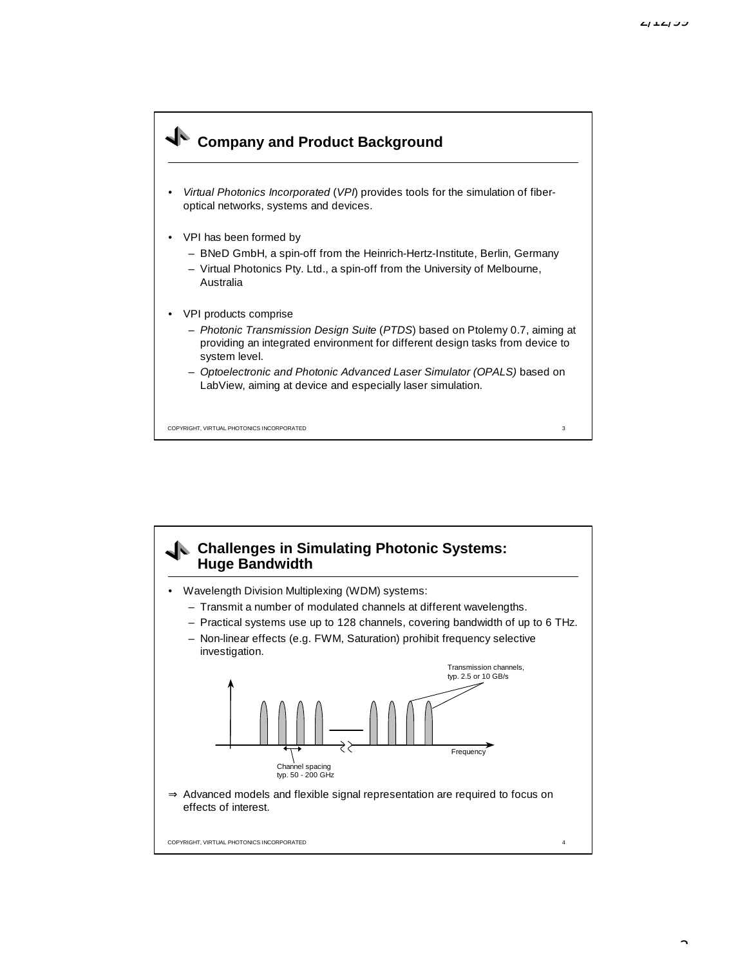

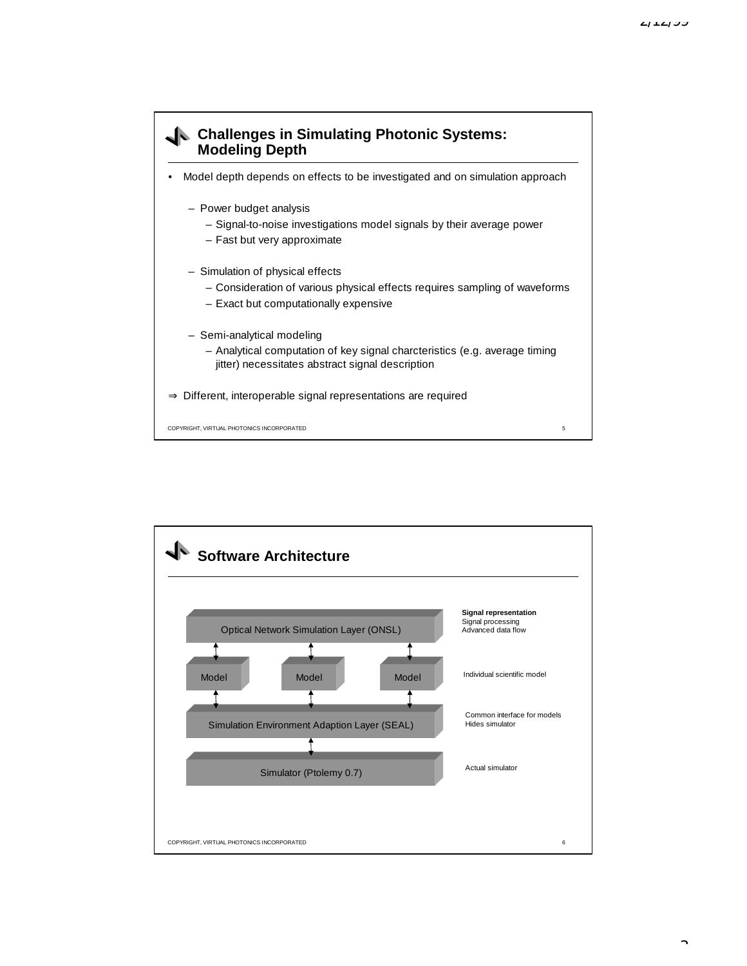

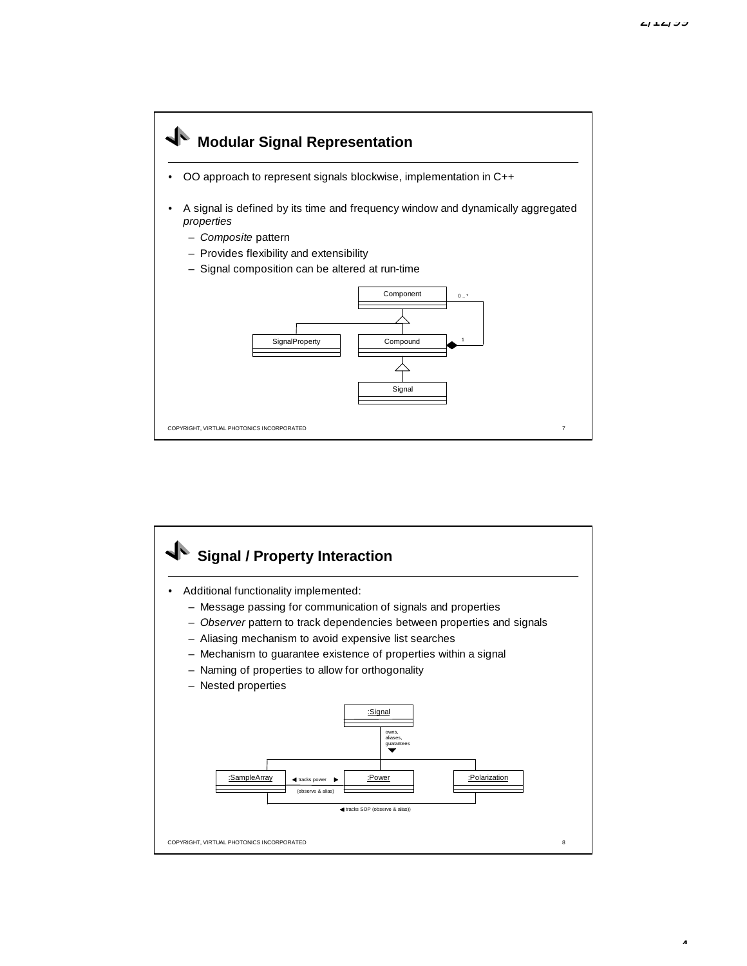$\overline{a}$ 



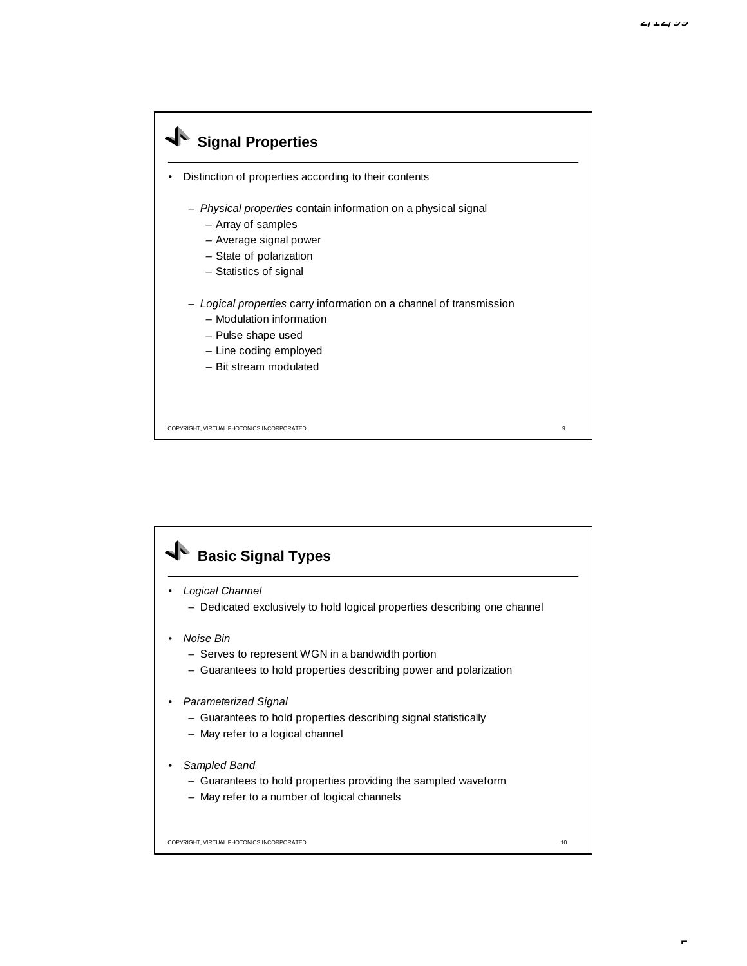## COPYRIGHT, VIRTUAL PHOTONICS INCORPORATED 9 **Signal Properties** Distinction of properties according to their contents – *Physical properties* contain information on a physical signal – Array of samples – Average signal power – State of polarization – Statistics of signal – *Logical properties* carry information on a channel of transmission – Modulation information – Pulse shape used – Line coding employed – Bit stream modulated

## COPYRIGHT, VIRTUAL PHOTONICS INCORPORATED 10 **Basic Signal Types** • *Logical Channel* – Dedicated exclusively to hold logical properties describing one channel • *Noise Bin* – Serves to represent WGN in a bandwidth portion – Guarantees to hold properties describing power and polarization • *Parameterized Signal* – Guarantees to hold properties describing signal statistically – May refer to a logical channel • *Sampled Band* – Guarantees to hold properties providing the sampled waveform – May refer to a number of logical channels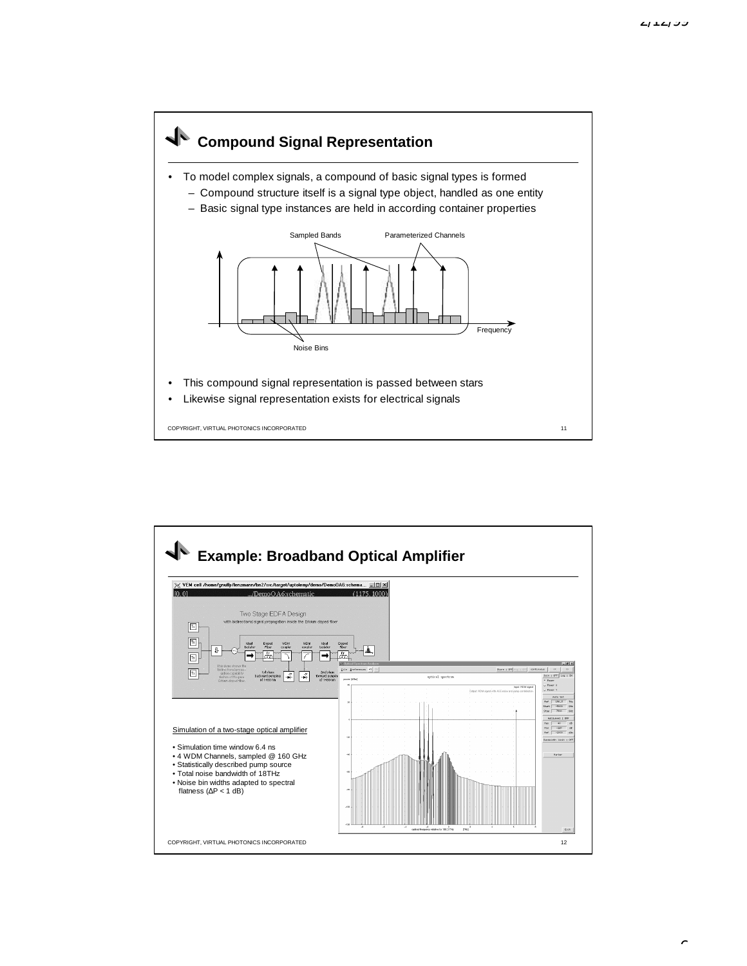